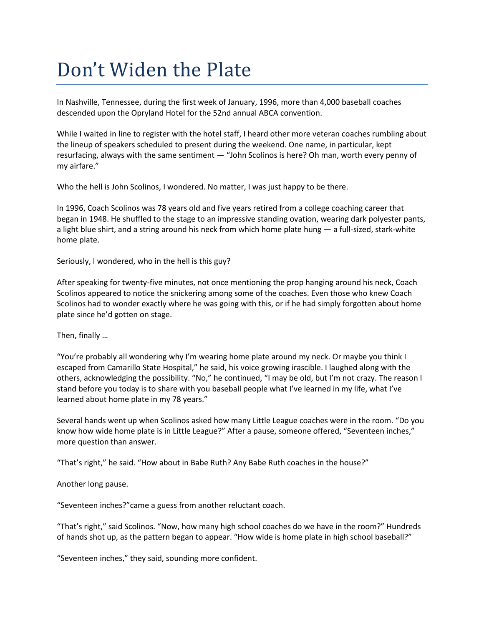## Don't Widen the Plate

In Nashville, Tennessee, during the first week of January, 1996, more than 4,000 baseball coaches descended upon the Opryland Hotel for the 52nd annual ABCA convention.

While I waited in line to register with the hotel staff, I heard other more veteran coaches rumbling about the lineup of speakers scheduled to present during the weekend. One name, in particular, kept resurfacing, always with the same sentiment — "John Scolinos is here? Oh man, worth every penny of my airfare."

Who the hell is John Scolinos, I wondered. No matter, I was just happy to be there.

In 1996, Coach Scolinos was 78 years old and five years retired from a college coaching career that began in 1948. He shuffled to the stage to an impressive standing ovation, wearing dark polyester pants, a light blue shirt, and a string around his neck from which home plate hung — a full-sized, stark-white home plate.

Seriously, I wondered, who in the hell is this guy?

After speaking for twenty-five minutes, not once mentioning the prop hanging around his neck, Coach Scolinos appeared to notice the snickering among some of the coaches. Even those who knew Coach Scolinos had to wonder exactly where he was going with this, or if he had simply forgotten about home plate since he'd gotten on stage.

Then, finally …

"You're probably all wondering why I'm wearing home plate around my neck. Or maybe you think I escaped from Camarillo State Hospital," he said, his voice growing irascible. I laughed along with the others, acknowledging the possibility. "No," he continued, "I may be old, but I'm not crazy. The reason I stand before you today is to share with you baseball people what I've learned in my life, what I've learned about home plate in my 78 years."

Several hands went up when Scolinos asked how many Little League coaches were in the room. "Do you know how wide home plate is in Little League?" After a pause, someone offered, "Seventeen inches," more question than answer.

"That's right," he said. "How about in Babe Ruth? Any Babe Ruth coaches in the house?"

Another long pause.

"Seventeen inches?"came a guess from another reluctant coach.

"That's right," said Scolinos. "Now, how many high school coaches do we have in the room?" Hundreds of hands shot up, as the pattern began to appear. "How wide is home plate in high school baseball?"

"Seventeen inches," they said, sounding more confident.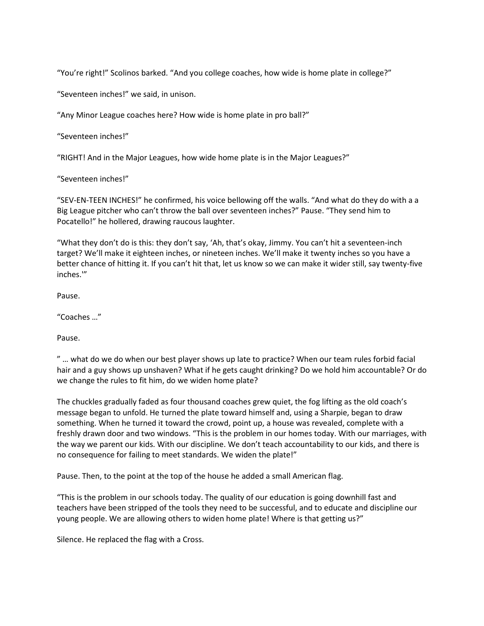"You're right!" Scolinos barked. "And you college coaches, how wide is home plate in college?"

"Seventeen inches!" we said, in unison.

"Any Minor League coaches here? How wide is home plate in pro ball?"

"Seventeen inches!"

"RIGHT! And in the Major Leagues, how wide home plate is in the Major Leagues?"

"Seventeen inches!"

"SEV-EN-TEEN INCHES!" he confirmed, his voice bellowing off the walls. "And what do they do with a a Big League pitcher who can't throw the ball over seventeen inches?" Pause. "They send him to Pocatello!" he hollered, drawing raucous laughter.

"What they don't do is this: they don't say, 'Ah, that's okay, Jimmy. You can't hit a seventeen-inch target? We'll make it eighteen inches, or nineteen inches. We'll make it twenty inches so you have a better chance of hitting it. If you can't hit that, let us know so we can make it wider still, say twenty-five inches.'"

Pause.

"Coaches …"

Pause.

" … what do we do when our best player shows up late to practice? When our team rules forbid facial hair and a guy shows up unshaven? What if he gets caught drinking? Do we hold him accountable? Or do we change the rules to fit him, do we widen home plate?

The chuckles gradually faded as four thousand coaches grew quiet, the fog lifting as the old coach's message began to unfold. He turned the plate toward himself and, using a Sharpie, began to draw something. When he turned it toward the crowd, point up, a house was revealed, complete with a freshly drawn door and two windows. "This is the problem in our homes today. With our marriages, with the way we parent our kids. With our discipline. We don't teach accountability to our kids, and there is no consequence for failing to meet standards. We widen the plate!"

Pause. Then, to the point at the top of the house he added a small American flag.

"This is the problem in our schools today. The quality of our education is going downhill fast and teachers have been stripped of the tools they need to be successful, and to educate and discipline our young people. We are allowing others to widen home plate! Where is that getting us?"

Silence. He replaced the flag with a Cross.